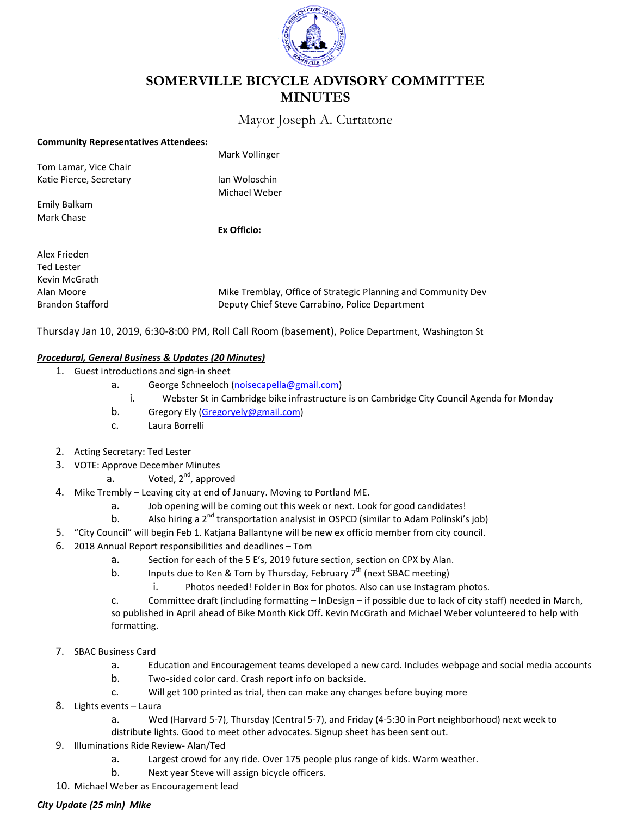

# **SOMERVILLE BICYCLE ADVISORY COMMITTEE MINUTES**

## Mayor Joseph A. Curtatone

#### **Community Representatives Attendees:**

|                         | Mark Vollinger                                                |
|-------------------------|---------------------------------------------------------------|
| Tom Lamar, Vice Chair   |                                                               |
| Katie Pierce, Secretary | lan Woloschin                                                 |
|                         | Michael Weber                                                 |
| Emily Balkam            |                                                               |
| Mark Chase              |                                                               |
|                         | Ex Officio:                                                   |
| Alex Frieden            |                                                               |
| <b>Ted Lester</b>       |                                                               |
| Kevin McGrath           |                                                               |
| Alan Moore              | Mike Tremblay, Office of Strategic Planning and Community Dev |
| <b>Brandon Stafford</b> | Deputy Chief Steve Carrabino, Police Department               |

Thursday Jan 10, 2019, 6:30-8:00 PM, Roll Call Room (basement), Police Department, Washington St

## *Procedural, General Business & Updates (20 Minutes)*

- 1. Guest introductions and sign-in sheet
	- a. George Schneeloch [\(noisecapella@gmail.com\)](mailto:noisecapella@gmail.com)
		- i. Webster St in Cambridge bike infrastructure is on Cambridge City Council Agenda for Monday
	- b. Gregory Ely [\(Gregoryely@gmail.com\)](mailto:Gregoryely@gmail.com)
	- c. Laura Borrelli
- 2. Acting Secretary: Ted Lester
- 3. VOTE: Approve December Minutes
	- a. Voted,  $2^{nd}$ , approved
- 4. Mike Trembly Leaving city at end of January. Moving to Portland ME.
	- a. Job opening will be coming out this week or next. Look for good candidates!
	- b. Also hiring a 2<sup>nd</sup> transportation analysist in OSPCD (similar to Adam Polinski's job)
- 5. "City Council" will begin Feb 1. Katjana Ballantyne will be new ex officio member from city council.
- 6. 2018 Annual Report responsibilities and deadlines Tom
	- a. Section for each of the 5 E's, 2019 future section, section on CPX by Alan.
	- b. Inputs due to Ken & Tom by Thursday, February  $7<sup>th</sup>$  (next SBAC meeting)
		- i. Photos needed! Folder in Box for photos. Also can use Instagram photos.

c. Committee draft (including formatting – InDesign – if possible due to lack of city staff) needed in March, so published in April ahead of Bike Month Kick Off. Kevin McGrath and Michael Weber volunteered to help with formatting.

- 7. SBAC Business Card
	- a. Education and Encouragement teams developed a new card. Includes webpage and social media accounts
	- b. Two-sided color card. Crash report info on backside.
	- c. Will get 100 printed as trial, then can make any changes before buying more
- 8. Lights events Laura
	- a. Wed (Harvard 5-7), Thursday (Central 5-7), and Friday (4-5:30 in Port neighborhood) next week to
	- distribute lights. Good to meet other advocates. Signup sheet has been sent out.
- 9. Illuminations Ride Review- Alan/Ted
	- a. Largest crowd for any ride. Over 175 people plus range of kids. Warm weather.
	- b. Next year Steve will assign bicycle officers.
- 10. Michael Weber as Encouragement lead

#### *City Update (25 min) Mike*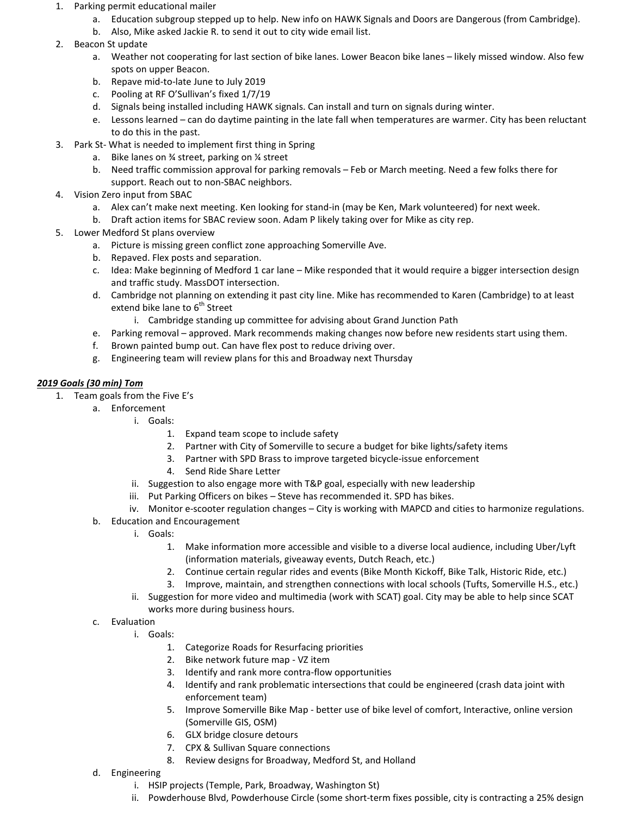- 1. Parking permit educational mailer
	- a. Education subgroup stepped up to help. New info on HAWK Signals and Doors are Dangerous (from Cambridge).
	- b. Also, Mike asked Jackie R. to send it out to city wide email list.
- 2. Beacon St update
	- a. Weather not cooperating for last section of bike lanes. Lower Beacon bike lanes likely missed window. Also few spots on upper Beacon.
	- b. Repave mid-to-late June to July 2019
	- c. Pooling at RF O'Sullivan's fixed 1/7/19
	- d. Signals being installed including HAWK signals. Can install and turn on signals during winter.
	- e. Lessons learned can do daytime painting in the late fall when temperatures are warmer. City has been reluctant to do this in the past.
- 3. Park St- What is needed to implement first thing in Spring
	- a. Bike lanes on ¾ street, parking on ¼ street
	- b. Need traffic commission approval for parking removals Feb or March meeting. Need a few folks there for support. Reach out to non-SBAC neighbors.
- 4. Vision Zero input from SBAC
	- a. Alex can't make next meeting. Ken looking for stand-in (may be Ken, Mark volunteered) for next week.
	- b. Draft action items for SBAC review soon. Adam P likely taking over for Mike as city rep.
- 5. Lower Medford St plans overview
	- a. Picture is missing green conflict zone approaching Somerville Ave.
	- b. Repaved. Flex posts and separation.
	- c. Idea: Make beginning of Medford 1 car lane Mike responded that it would require a bigger intersection design and traffic study. MassDOT intersection.
	- d. Cambridge not planning on extending it past city line. Mike has recommended to Karen (Cambridge) to at least extend bike lane to  $6<sup>th</sup>$  Street
		- i. Cambridge standing up committee for advising about Grand Junction Path
	- e. Parking removal approved. Mark recommends making changes now before new residents start using them.
	- f. Brown painted bump out. Can have flex post to reduce driving over.
	- g. Engineering team will review plans for this and Broadway next Thursday

## *2019 Goals (30 min) Tom*

- 1. Team goals from the Five E's
	- a. Enforcement
		- i. Goals:
			- 1. Expand team scope to include safety
			- 2. Partner with City of Somerville to secure a budget for bike lights/safety items
			- 3. Partner with SPD Brass to improve targeted bicycle-issue enforcement
			- 4. Send Ride Share Letter
			- ii. Suggestion to also engage more with T&P goal, especially with new leadership
			- iii. Put Parking Officers on bikes Steve has recommended it. SPD has bikes.
			- iv. Monitor e-scooter regulation changes City is working with MAPCD and cities to harmonize regulations.
	- b. Education and Encouragement
		- i. Goals:
			- 1. Make information more accessible and visible to a diverse local audience, including Uber/Lyft (information materials, giveaway events, Dutch Reach, etc.)
			- 2. Continue certain regular rides and events (Bike Month Kickoff, Bike Talk, Historic Ride, etc.)
			- 3. Improve, maintain, and strengthen connections with local schools (Tufts, Somerville H.S., etc.)
		- ii. Suggestion for more video and multimedia (work with SCAT) goal. City may be able to help since SCAT works more during business hours.
	- c. Evaluation
		- i. Goals:
			- 1. Categorize Roads for Resurfacing priorities
			- 2. Bike network future map VZ item
			- 3. Identify and rank more contra-flow opportunities
			- 4. Identify and rank problematic intersections that could be engineered (crash data joint with enforcement team)
			- 5. Improve Somerville Bike Map better use of bike level of comfort, Interactive, online version (Somerville GIS, OSM)
			- 6. GLX bridge closure detours
			- 7. CPX & Sullivan Square connections
			- 8. Review designs for Broadway, Medford St, and Holland
	- d. Engineering
		- i. HSIP projects (Temple, Park, Broadway, Washington St)
		- ii. Powderhouse Blvd, Powderhouse Circle (some short-term fixes possible, city is contracting a 25% design